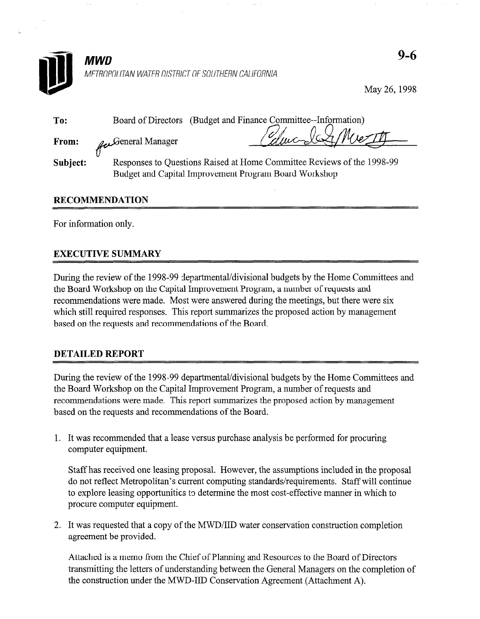

May 26,1998

| To:      | (Budget and Finance Committee-Information)<br>Board of Directors                                                                |  |  |  |
|----------|---------------------------------------------------------------------------------------------------------------------------------|--|--|--|
| From:    | Edward A Mierth<br>General Manager                                                                                              |  |  |  |
| Subject: | Responses to Questions Raised at Home Committee Reviews of the 1998-99<br>Budget and Capital Improvement Program Board Workshop |  |  |  |

## RECOMMENDATION

For information only.

# EXECUTIVE SUMMARY

During the review of the 1998-99 departmental/divisional budgets by the Home Committees and the Board Workshop on the Capital Improvement Program, a number of requests and recommendations were made. Most were answered during the meetings, but there were six recommendations were made. Those were allowered during the meetings, out there were six which suit required responses. This report summarizes in

# DETAILED REPORT

During the review of the 1998-99 departmental/divisional budgets by the Frome Comi the Board Workshop on the Capital Improvement Program, a number of requests and recommendations were made. This report summarizes the proposed action by management based on the requests and recommendations of the Board.

1. It was recommended that a lease versus purchase analysis be performed for procuring computer equipment.

Staff has received one leasing proposal. However, the assumptions included in the proposal do not reflect Metropolitan's current computing standards/requirements. Staff will continue to explore leasing opportunities to determine the most cost-effective manner in which to procure computer equipment.

2. It was requested that a copy of the MWD/IID water conservation construction completion agreement be provided.

Attached is a memo from the Chief of Planning and Resources to the Board of Directors transmitting the letters of understanding between the General Managers on the completion of the construction under the MWD-IID Conservation Agreement (Attachment A).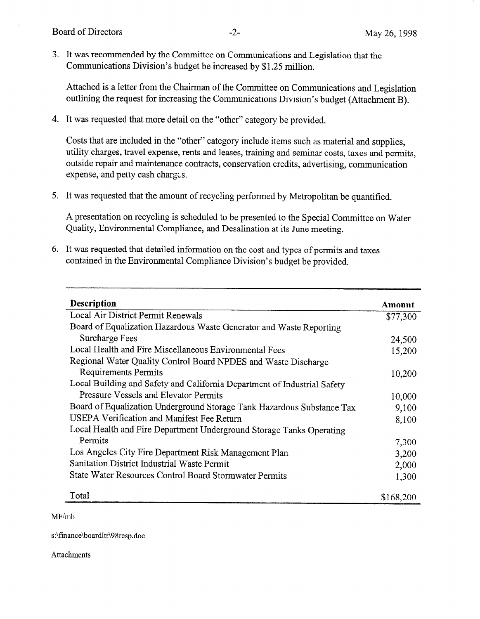3. It was recommended by the Committee on Communications and Legislation that the Communications Division's budget be increased by \$1.25 million.

Attached is a letter from the Chairman of the Committee on Communications and Legislation outlining the request for increasing the Communications Division's budget (Attachment B).

4. It was requested that more detail on the "other" category be provided.

Costs that are included in the "other" category include items such as material and supplies, utility charges, travel expense, rents and leases, training and seminar costs, taxes and permits, outside repair and maintenance contracts, conservation credits, advertising, communication expense, and petty cash charges.

5. It was requested that the amount of recycling performed by Metropolitan be quantified.

A presentation on recycling is scheduled to be presented to the Special Committee on Water Quality, Environmental Compliance, and Desalination at its June meeting.

6. It was requested that detailed information on the cost and types of permits and taxes contained in the Environmental Compliance Division's budget be provided.

| <b>Description</b>                                                       | Amount    |
|--------------------------------------------------------------------------|-----------|
| Local Air District Permit Renewals                                       | \$77,300  |
| Board of Equalization Hazardous Waste Generator and Waste Reporting      |           |
| Surcharge Fees                                                           | 24,500    |
| Local Health and Fire Miscellaneous Environmental Fees                   | 15,200    |
| Regional Water Quality Control Board NPDES and Waste Discharge           |           |
| Requirements Permits                                                     | 10,200    |
| Local Building and Safety and California Department of Industrial Safety |           |
| Pressure Vessels and Elevator Permits                                    | 10,000    |
| Board of Equalization Underground Storage Tank Hazardous Substance Tax   | 9,100     |
| USEPA Verification and Manifest Fee Return                               | 8,100     |
| Local Health and Fire Department Underground Storage Tanks Operating     |           |
| Permits                                                                  | 7,300     |
| Los Angeles City Fire Department Risk Management Plan                    | 3,200     |
| Sanitation District Industrial Waste Permit                              | 2,000     |
| State Water Resources Control Board Stormwater Permits                   | 1,300     |
| Total                                                                    | \$168,200 |

 $MF/mL$ 

s:\fmance\boardltr\98resp.doc

Attachments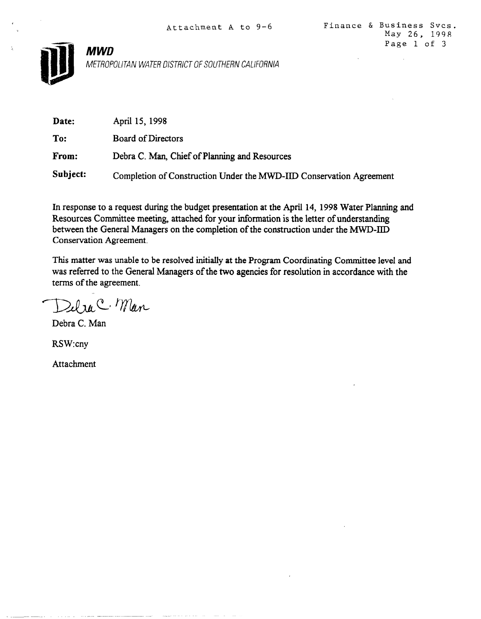



MWD

METROPOLITAN WATER DISTRICT OF SOUTHERN CALIFORNIA

| Date:    | April 15, 1998                                                      |
|----------|---------------------------------------------------------------------|
| To:      | Board of Directors                                                  |
| From:    | Debra C. Man, Chief of Planning and Resources                       |
| Subject: | Completion of Construction Under the MWD-IID Conservation Agreement |

In response to a request during the budget presentation at the April 14, 1998 Water Planning and Resources Committee meeting, attached for your information is the letter of understanding between the General Managers on the completion of the construction under the MWD-IID Conservation Agreement.

This matter was unable to be resolved initially at the Program Coordinating Committee level and was referred to the General Managers of the two agencies for resolution in accordance with the terms of the agreement.

 $2d$  race, Man

Debra C. Man

RSW:cny

Attachment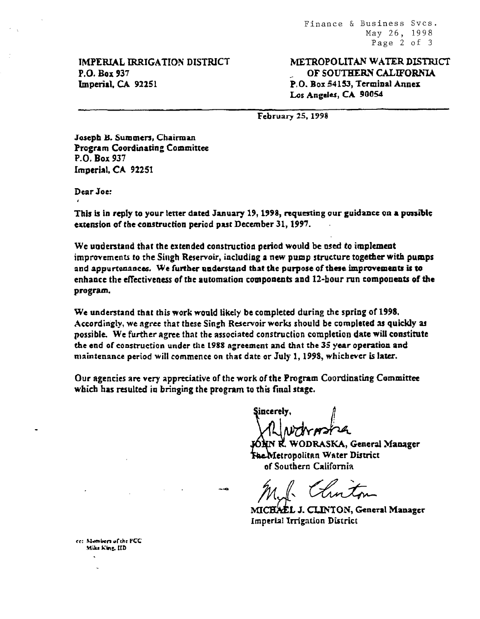Finance 6 Business Svcs. May 26, 1998 Page 2 of 3

TMPERIAL IRRIGATION DISTRICT P.O. Box 937 Imperial. CA 92251

METROPOLITAN WATER DISTRICT OF SOUTHERN CALIFORNIA P, 0. Bor 54153, Terminal Annex Los Angeles, CA 90054

February 25,1998

Joseph B. Summers, Chairman Program Coordinating Committee P-0. Box 937 Lmpcrial, CA 92251

Dear Joe: I

This is in reply to your letter dated January 19, 1998, requesting our guidance on a possible extension of the construction period past December 31, 1997.

We understand that the extended construction period would be used to implement improvements to the Singh Reservoir, including a new pump structure together with pumps and appurtenances. We further understand that the purpose of these improvemeuts is to enhance the effectiveness of the automation components and Dhour Dhour Nn  $\sim$ program.

We understand that this work would likely be completed during the spring of 1998. According that this work would have be completed out ing the spring of 1990. problemsly, we agree that these shight reservoir works should be completed as quickly as possible. We further agree that the associated construction completion date will constitute the end of construction under the 1988 agreement and that the 35 year operation and<br>maintenance period will commence on that date or July 1, 1998, whichever is later.

Our agencies ore very appreciative of the work of the Program Coordinating Committee Our agencies are very appreciative of the work of the *ri*ngiam

incerelv

N R. WODRASKA, General Manager LVIetropolitan Water District<br>of Southern California

 $\sim$  CLIC of  $\sim$ 

MICHAEL J. CLINTON, General Manager **Imperial Irrigation District** 

cc: Mambers of the PCC. Mike King, IID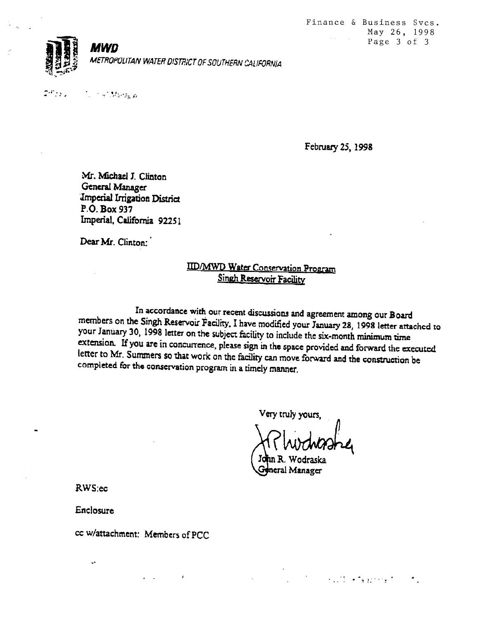



 $2^{16}$   $11$ . . .' I '.1... .: ,,.. 2. . . . in fr

February 25, 1998

Mr. Michael J. Clinton General Manager ;ImperiaI Irrigation District P.O. Box 937 Imperial, California 92251

Dear Mr. Clinton:

# IID/MWD Water Conservation Program Singh Reservoir Facility

In accordance with our recent discussions and agreement among our Board members on the Singh Reservoir Facility. I have modified your January 28, 1998 letter attached to your January 30, 1998 letter on the subject facility to include the six-month minimum time  $\epsilon$  is the summary correspondence on the subject racinty to include the six-month minimum time extension. If you are in concurrence, i letter to Mr. Summers so that work on the facility can move forward the consumers forward the execution between letter to Mr. Summers so that work on the facility can move forward and the construction be completed for the conservation program in a timely manner.

Very truly yours.

 $\mathcal{L}_{\text{eff}}\left(\mathcal{I}\right)=\mathcal{L}_{\text{eff}}\left(\mathcal{I}\right)\mathcal{L}_{\text{eff}}\left(\mathcal{I}\right)$ 

n R. Wodraska neral Manager

RWS:ec

Enclosure

 $\ddot{\phantom{0}}$ 

cc w/attachment: Members of PCC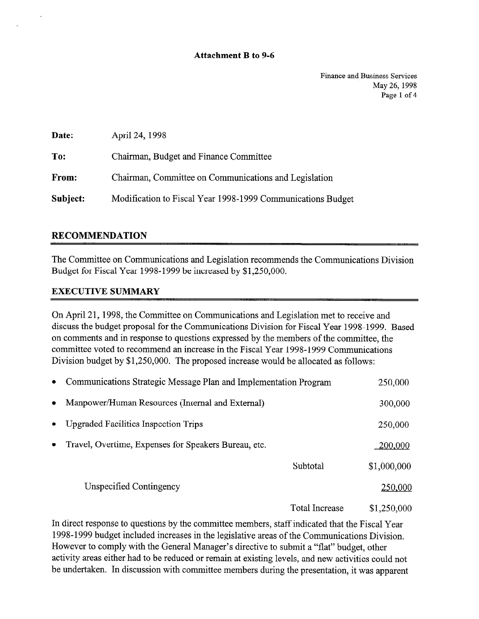#### Attachment B to 9-6

Finance and Business Services May 26, 1998 Page 1 of 4

| Date:    | April 24, 1998                                              |
|----------|-------------------------------------------------------------|
| To:      | Chairman, Budget and Finance Committee                      |
| From:    | Chairman, Committee on Communications and Legislation       |
| Subject: | Modification to Fiscal Year 1998-1999 Communications Budget |

# RECOMMENDATION

The Committee on Communications and Legislation recommends the Communications Division Budget for Fiscal Year 1998- 1999 be increased by \$1,250,000.

## EXECUTIVE SUMMARY

On April 21, 1998, the Committee on Communications and Legislation met to receive and discuss the budget proposal for the Communications Division for Fiscal Year 1998-1999. Based on comments and in response to questions expressed by the members of the committee, the committee voted to recommend an increase in the Fiscal Year 1998-1999 Communications Division budget by \$1,250,000. The proposed increase would be allocated as follows:

| $\bullet$ | Communications Strategic Message Plan and Implementation Program |                | 250,000     |
|-----------|------------------------------------------------------------------|----------------|-------------|
| $\bullet$ | Manpower/Human Resources (Internal and External)                 |                | 300,000     |
| $\bullet$ | <b>Upgraded Facilities Inspection Trips</b>                      |                | 250,000     |
| $\bullet$ | Travel, Overtime, Expenses for Speakers Bureau, etc.             |                | 200,000     |
|           |                                                                  | Subtotal       | \$1,000,000 |
|           | Unspecified Contingency                                          |                | 250,000     |
|           |                                                                  | Total Increase | \$1.250.000 |

In direct response to questions by the committee members, staff indicated that the Fiscal Year 1998-1999 budget included increases in the legislative areas of the Communications Division. However to comply with the General Manager's directive to submit a "flat" budget, other activity areas either had to be reduced or remain at existing levels, and new activities could not be undertaken. In discussion with committee members during the presentation, it was apparent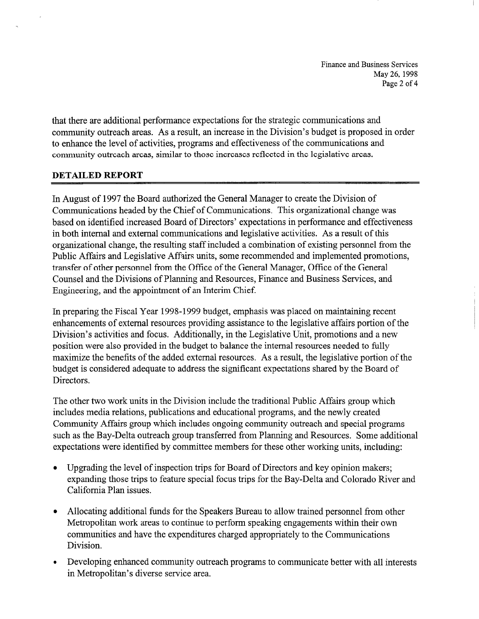Finance and Business Services May 26, 1998 Page 2 of 4

that there are additional performance expectations for the strategic communications and community outreach areas. As a result, an increase in the Division's budget is proposed in order to enhance the level of activities, programs and effectiveness of the communications and community outreach areas, similar to those increases reflected in the legislative areas.

## DETAILED REPORT

In August of 1997 the Board authorized the General Manager to create the Division of Communications headed by the Chief of Communications. This organizational change was based on identified increased Board of Directors' expectations in performance and effectiveness in both internal and external communications and legislative activities. As a result of this organizational change, the resulting staff included a combination of existing personnel from the Public Affairs and Legislative Affairs units, some recommended and implemented promotions, transfer of other personnel from the Office of the General Manager, Office of the General Counsel and the Divisions of Planning and Resources, Finance and Business Services, and Engineering, and the appointment of an Interim Chief.

In preparing the Fiscal Year 1998-1999 budget, emphasis was placed on maintaining recent enhancements of external resources providing assistance to the legislative affairs portion of the Division's activities and focus. Additionally, in the Legislative Unit, promotions and a new position were also provided in the budget to balance the internal resources needed to fully maximize the benefits of the added external resources. As a result, the legislative portion of the budget is considered adequate to address the significant expectations shared by the Board of Directors.

The other two work units in the Division include the traditional Public Affairs group which includes media relations, publications and educational programs, and the newly created Community Affairs group which includes ongoing community outreach and special programs such as the Bay-Delta outreach group transferred from Planning and Resources. Some additional expectations were identified by committee members for these other working units, including:

- Upgrading the level of inspection trips for Board of Directors and key opinion makers; expanding those trips to feature special focus trips for the Bay-Delta and Colorado River and California Plan issues.
- Allocating additional funds for the Speakers Bureau to allow trained personnel from other Metropolitan work areas to continue to perform speaking engagements within their own communities and have the expenditures charged appropriately to the Communications Division.
- Developing enhanced community outreach programs to communicate better with all interests in Metropolitan's diverse service area.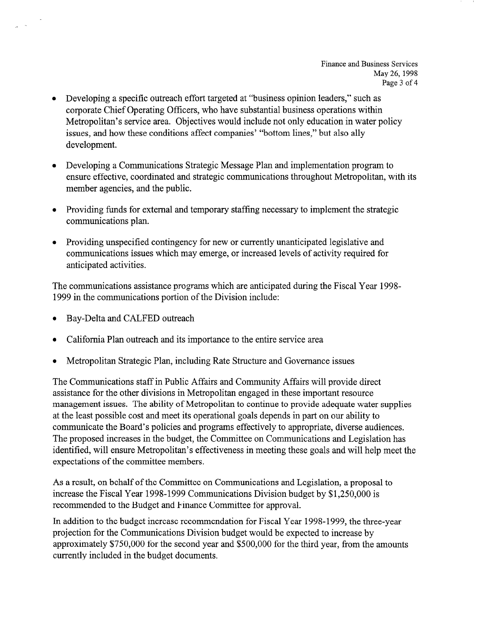- Developing a specific outreach effort targeted at "business opinion leaders," such as corporate Chief Operating Officers, who have substantial business operations within Metropolitan's service area. Objectives would include not only education in water policy issues, and how these conditions affect companies' "bottom lines," but also ally development.
- Developing a Communications Strategic Message Plan and implementation program to ensure effective, coordinated and strategic communications throughout Metropolitan, with its member agencies, and the public.
- Providing funds for external and temporary staffing necessary to implement the strategic communications plan.
- Providing unspecified contingency for new or currently unanticipated legislative and communications issues which may emerge, or increased levels of activity required for anticipated activities.

The communications assistance programs which are anticipated during the Fiscal Year 199% 1999 in the communications portion of the Division include:

- Bay-Delta and CALFED outreach
- <sup>l</sup>California Plan outreach and its importance to the entire service area
- <sup>l</sup>Metropolitan Strategic Plan, including Rate Structure and Governance issues

The Communications staff in Public Affairs and Community Affairs will provide direct assistance for the other divisions in Metropolitan engaged in these important resource management issues. The ability of Metropolitan to continue to provide adequate water supplies at the least possible cost and meet its operational goals depends in part on our ability to communicate the Board's policies and programs effectively to appropriate, diverse audiences. The proposed increases in the budget, the Committee on Communications and Legislation has identified, will ensure Metropolitan's effectiveness in meeting these goals and will help meet the expectations of the committee members.

As a result, on behalf of the Committee on Communications and Legislation, a proposal to increase the Fiscal Year 1998-1999 Communications Division budget by \$1,250,000 is recommended to the Budget and Eimance Committee for approval.

In addition to the budget increase recommendation for Fiscal Year 1998-1999, the three-year projection for the Communications Division budget would be expected to increase by approximately \$750,000 for the second year and \$500,000 for the third year, from the amounts currently included in the budget documents.